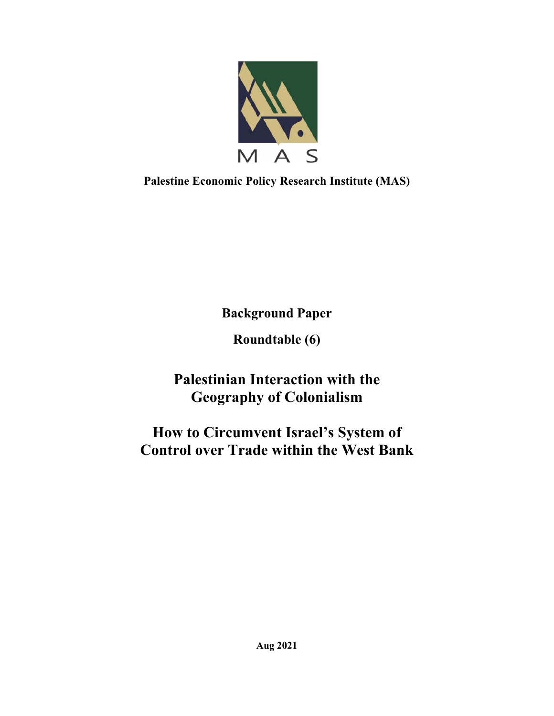

**Palestine Economic Policy Research Institute (MAS)** 

**Background Paper** 

**Roundtable (6)** 

**Palestinian Interaction with the Geography of Colonialism** 

**How to Circumvent Israel's System of Control over Trade within the West Bank**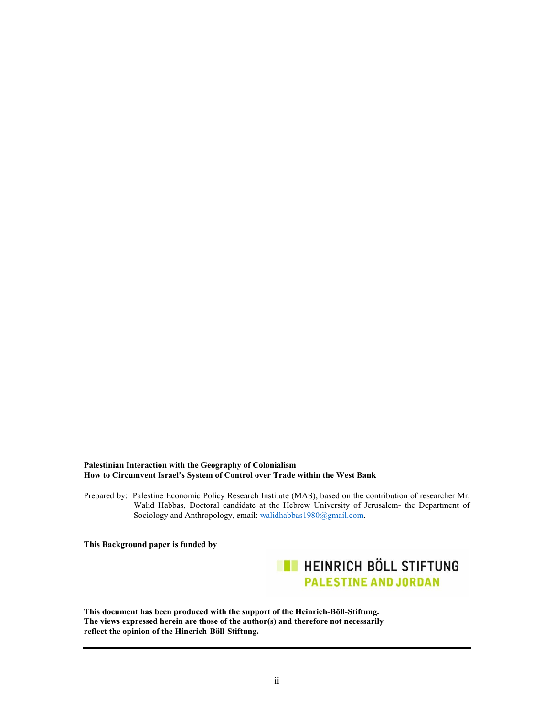#### **Palestinian Interaction with the Geography of Colonialism How to Circumvent Israel's System of Control over Trade within the West Bank**

Prepared by: Palestine Economic Policy Research Institute (MAS), based on the contribution of researcher Mr. Walid Habbas, Doctoral candidate at the Hebrew University of Jerusalem- the Department of Sociology and Anthropology, email: walidhabbas1980@gmail.com.

**This Background paper is funded by** 



**This document has been produced with the support of the Heinrich-Böll-Stiftung. The views expressed herein are those of the author(s) and therefore not necessarily reflect the opinion of the Hinerich-Böll-Stiftung.**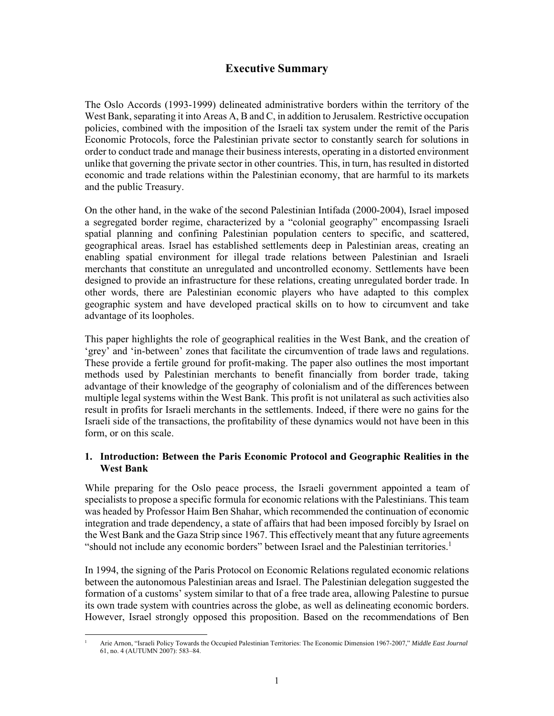# **Executive Summary**

The Oslo Accords (1993-1999) delineated administrative borders within the territory of the West Bank, separating it into Areas A, B and C, in addition to Jerusalem. Restrictive occupation policies, combined with the imposition of the Israeli tax system under the remit of the Paris Economic Protocols, force the Palestinian private sector to constantly search for solutions in order to conduct trade and manage their business interests, operating in a distorted environment unlike that governing the private sector in other countries. This, in turn, has resulted in distorted economic and trade relations within the Palestinian economy, that are harmful to its markets and the public Treasury.

On the other hand, in the wake of the second Palestinian Intifada (2000-2004), Israel imposed a segregated border regime, characterized by a "colonial geography" encompassing Israeli spatial planning and confining Palestinian population centers to specific, and scattered, geographical areas. Israel has established settlements deep in Palestinian areas, creating an enabling spatial environment for illegal trade relations between Palestinian and Israeli merchants that constitute an unregulated and uncontrolled economy. Settlements have been designed to provide an infrastructure for these relations, creating unregulated border trade. In other words, there are Palestinian economic players who have adapted to this complex geographic system and have developed practical skills on to how to circumvent and take advantage of its loopholes.

This paper highlights the role of geographical realities in the West Bank, and the creation of 'grey' and 'in-between' zones that facilitate the circumvention of trade laws and regulations. These provide a fertile ground for profit-making. The paper also outlines the most important methods used by Palestinian merchants to benefit financially from border trade, taking advantage of their knowledge of the geography of colonialism and of the differences between multiple legal systems within the West Bank. This profit is not unilateral as such activities also result in profits for Israeli merchants in the settlements. Indeed, if there were no gains for the Israeli side of the transactions, the profitability of these dynamics would not have been in this form, or on this scale.

# **1. Introduction: Between the Paris Economic Protocol and Geographic Realities in the West Bank**

While preparing for the Oslo peace process, the Israeli government appointed a team of specialists to propose a specific formula for economic relations with the Palestinians. This team was headed by Professor Haim Ben Shahar, which recommended the continuation of economic integration and trade dependency, a state of affairs that had been imposed forcibly by Israel on the West Bank and the Gaza Strip since 1967. This effectively meant that any future agreements "should not include any economic borders" between Israel and the Palestinian territories.<sup>1</sup>

In 1994, the signing of the Paris Protocol on Economic Relations regulated economic relations between the autonomous Palestinian areas and Israel. The Palestinian delegation suggested the formation of a customs' system similar to that of a free trade area, allowing Palestine to pursue its own trade system with countries across the globe, as well as delineating economic borders. However, Israel strongly opposed this proposition. Based on the recommendations of Ben

<sup>1</sup> Arie Arnon, "Israeli Policy Towards the Occupied Palestinian Territories: The Economic Dimension 1967-2007," *Middle East Journal* 61, no. 4 (AUTUMN 2007): 583–84.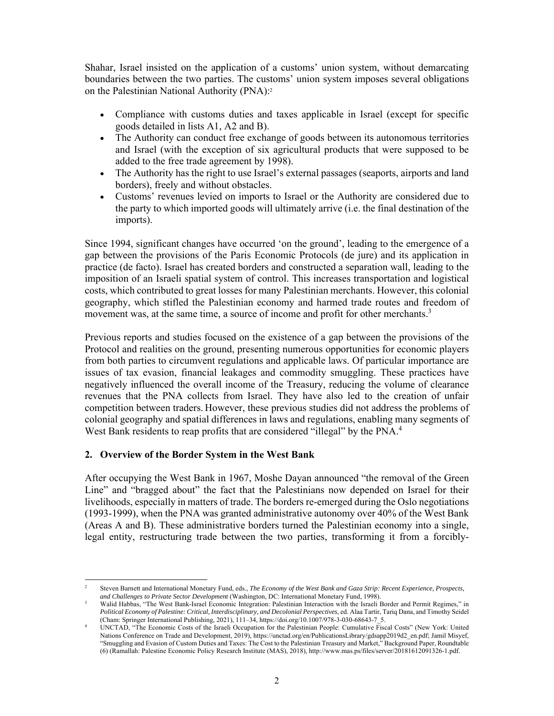Shahar, Israel insisted on the application of a customs' union system, without demarcating boundaries between the two parties. The customs' union system imposes several obligations on the Palestinian National Authority (PNA):2

- Compliance with customs duties and taxes applicable in Israel (except for specific goods detailed in lists A1, A2 and B).
- The Authority can conduct free exchange of goods between its autonomous territories and Israel (with the exception of six agricultural products that were supposed to be added to the free trade agreement by 1998).
- The Authority has the right to use Israel's external passages (seaports, airports and land borders), freely and without obstacles.
- Customs' revenues levied on imports to Israel or the Authority are considered due to the party to which imported goods will ultimately arrive (i.e. the final destination of the imports).

Since 1994, significant changes have occurred 'on the ground', leading to the emergence of a gap between the provisions of the Paris Economic Protocols (de jure) and its application in practice (de facto). Israel has created borders and constructed a separation wall, leading to the imposition of an Israeli spatial system of control. This increases transportation and logistical costs, which contributed to great losses for many Palestinian merchants. However, this colonial geography, which stifled the Palestinian economy and harmed trade routes and freedom of movement was, at the same time, a source of income and profit for other merchants.<sup>3</sup>

Previous reports and studies focused on the existence of a gap between the provisions of the Protocol and realities on the ground, presenting numerous opportunities for economic players from both parties to circumvent regulations and applicable laws. Of particular importance are issues of tax evasion, financial leakages and commodity smuggling. These practices have negatively influenced the overall income of the Treasury, reducing the volume of clearance revenues that the PNA collects from Israel. They have also led to the creation of unfair competition between traders. However, these previous studies did not address the problems of colonial geography and spatial differences in laws and regulations, enabling many segments of West Bank residents to reap profits that are considered "illegal" by the PNA.<sup>4</sup>

# **2. Overview of the Border System in the West Bank**

After occupying the West Bank in 1967, Moshe Dayan announced "the removal of the Green Line" and "bragged about" the fact that the Palestinians now depended on Israel for their livelihoods, especially in matters of trade. The borders re-emerged during the Oslo negotiations (1993-1999), when the PNA was granted administrative autonomy over 40% of the West Bank (Areas A and B). These administrative borders turned the Palestinian economy into a single, legal entity, restructuring trade between the two parties, transforming it from a forcibly-

<sup>2</sup> Steven Barnett and International Monetary Fund, eds., *The Economy of the West Bank and Gaza Strip: Recent Experience, Prospects,* 

and Challenges to Private Sector Development (Washington, DC: International Monetary Fund, 1998).<br><sup>3</sup> Walid Habbas, "The West Bank-Israel Economic Integration: Palestinian Interaction with the Israeli Border and Permit Reg *Political Economy of Palestine: Critical, Interdisciplinary, and Decolonial Perspectives*, ed. Alaa Tartir, Tariq Dana, and Timothy Seidel (Cham: Springer International Publishing, 2021), 111–34, https://doi.org/10.1007/978-3-030-68643-7\_5. 4

UNCTAD, "The Economic Costs of the Israeli Occupation for the Palestinian People: Cumulative Fiscal Costs" (New York: United Nations Conference on Trade and Development, 2019), https://unctad.org/en/PublicationsLibrary/gdsapp2019d2\_en.pdf; Jamil Misyef, "Smuggling and Evasion of Custom Duties and Taxes: The Cost to the Palestinian Treasury and Market," Background Paper, Roundtable (6) (Ramallah: Palestine Economic Policy Research Institute (MAS), 2018), http://www.mas.ps/files/server/20181612091326-1.pdf.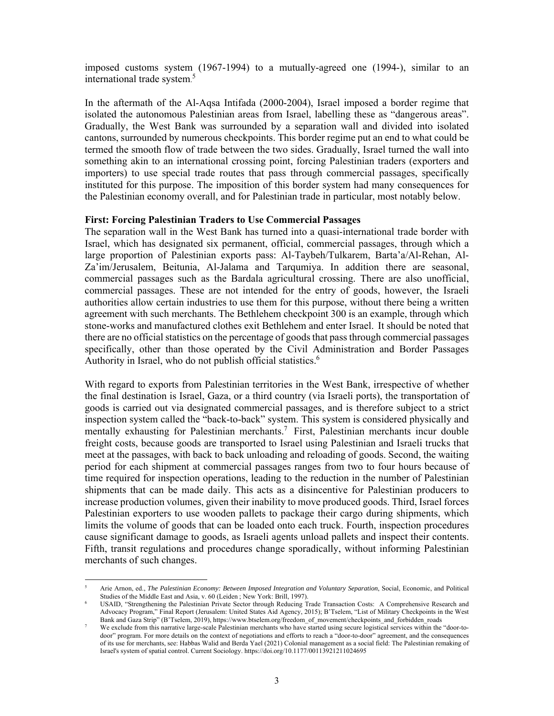imposed customs system (1967-1994) to a mutually-agreed one (1994-), similar to an international trade system. 5

In the aftermath of the Al-Aqsa Intifada (2000-2004), Israel imposed a border regime that isolated the autonomous Palestinian areas from Israel, labelling these as "dangerous areas". Gradually, the West Bank was surrounded by a separation wall and divided into isolated cantons, surrounded by numerous checkpoints. This border regime put an end to what could be termed the smooth flow of trade between the two sides. Gradually, Israel turned the wall into something akin to an international crossing point, forcing Palestinian traders (exporters and importers) to use special trade routes that pass through commercial passages, specifically instituted for this purpose. The imposition of this border system had many consequences for the Palestinian economy overall, and for Palestinian trade in particular, most notably below.

#### **First: Forcing Palestinian Traders to Use Commercial Passages**

The separation wall in the West Bank has turned into a quasi-international trade border with Israel, which has designated six permanent, official, commercial passages, through which a large proportion of Palestinian exports pass: Al-Taybeh/Tulkarem, Barta'a/Al-Rehan, Al-Za'im/Jerusalem, Beitunia, Al-Jalama and Tarqumiya. In addition there are seasonal, commercial passages such as the Bardala agricultural crossing. There are also unofficial, commercial passages. These are not intended for the entry of goods, however, the Israeli authorities allow certain industries to use them for this purpose, without there being a written agreement with such merchants. The Bethlehem checkpoint 300 is an example, through which stone-works and manufactured clothes exit Bethlehem and enter Israel. It should be noted that there are no official statistics on the percentage of goods that pass through commercial passages specifically, other than those operated by the Civil Administration and Border Passages Authority in Israel, who do not publish official statistics.<sup>6</sup>

With regard to exports from Palestinian territories in the West Bank, irrespective of whether the final destination is Israel, Gaza, or a third country (via Israeli ports), the transportation of goods is carried out via designated commercial passages, and is therefore subject to a strict inspection system called the "back-to-back" system. This system is considered physically and mentally exhausting for Palestinian merchants.<sup>7</sup> First, Palestinian merchants incur double freight costs, because goods are transported to Israel using Palestinian and Israeli trucks that meet at the passages, with back to back unloading and reloading of goods. Second, the waiting period for each shipment at commercial passages ranges from two to four hours because of time required for inspection operations, leading to the reduction in the number of Palestinian shipments that can be made daily. This acts as a disincentive for Palestinian producers to increase production volumes, given their inability to move produced goods. Third, Israel forces Palestinian exporters to use wooden pallets to package their cargo during shipments, which limits the volume of goods that can be loaded onto each truck. Fourth, inspection procedures cause significant damage to goods, as Israeli agents unload pallets and inspect their contents. Fifth, transit regulations and procedures change sporadically, without informing Palestinian merchants of such changes.

<sup>5</sup> Arie Arnon, ed., *The Palestinian Economy: Between Imposed Integration and Voluntary Separation*, Social, Economic, and Political Studies of the Middle East and Asia, v. 60 (Leiden ; New York: Brill, 1997).

USAID, "Strengthening the Palestinian Private Sector through Reducing Trade Transaction Costs: A Comprehensive Research and Advocacy Program," Final Report (Jerusalem: United States Aid Agency, 2015); B'Tselem, "List of Military Checkpoints in the West Bank and Gaza Strip" (B'Tselem, 2019), https://www.btselem.org/freedom\_of\_movement/checkpoints\_and\_forbidden\_roads 7

We exclude from this narrative large-scale Palestinian merchants who have started using secure logistical services within the "door-todoor" program. For more details on the context of negotiations and efforts to reach a "door-to-door" agreement, and the consequences of its use for merchants, see : Habbas Walid and Berda Yael (2021) Colonial management as a social field: The Palestinian remaking of Israel's system of spatial control. Current Sociology. https://doi.org/10.1177/00113921211024695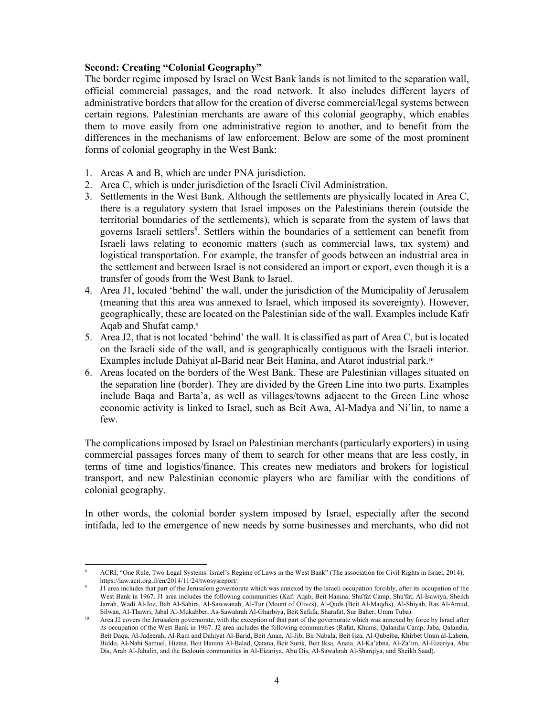# **Second: Creating "Colonial Geography"**

The border regime imposed by Israel on West Bank lands is not limited to the separation wall, official commercial passages, and the road network. It also includes different layers of administrative borders that allow for the creation of diverse commercial/legal systems between certain regions. Palestinian merchants are aware of this colonial geography, which enables them to move easily from one administrative region to another, and to benefit from the differences in the mechanisms of law enforcement. Below are some of the most prominent forms of colonial geography in the West Bank:

- 1. Areas A and B, which are under PNA jurisdiction.
- 2. Area C, which is under jurisdiction of the Israeli Civil Administration .
- 3. Settlements in the West Bank. Although the settlements are physically located in Area C, there is a regulatory system that Israel imposes on the Palestinians therein (outside the territorial boundaries of the settlements), which is separate from the system of laws that governs Israeli settlers<sup>8</sup>. Settlers within the boundaries of a settlement can benefit from Israeli laws relating to economic matters (such as commercial laws, tax system) and logistical transportation. For example, the transfer of goods between an industrial area in the settlement and between Israel is not considered an import or export, even though it is a transfer of goods from the West Bank to Israel.
- 4. Area J1, located 'behind' the wall, under the jurisdiction of the Municipality of Jerusalem (meaning that this area was annexed to Israel, which imposed its sovereignty). However, geographically, these are located on the Palestinian side of the wall. Examples include Kafr Aqab and Shufat camp.9
- 5. Area J2, that is not located 'behind' the wall. It is classified as part of Area C, but is located on the Israeli side of the wall, and is geographically contiguous with the Israeli interior. Examples include Dahiyat al-Barid near Beit Hanina, and Atarot industrial park.10
- 6. Areas located on the borders of the West Bank. These are Palestinian villages situated on the separation line (border). They are divided by the Green Line into two parts. Examples include Baqa and Barta'a, as well as villages/towns adjacent to the Green Line whose economic activity is linked to Israel, such as Beit Awa, Al-Madya and Ni'lin, to name a few.

The complications imposed by Israel on Palestinian merchants (particularly exporters) in using commercial passages forces many of them to search for other means that are less costly, in terms of time and logistics/finance. This creates new mediators and brokers for logistical transport, and new Palestinian economic players who are familiar with the conditions of colonial geography.

In other words, the colonial border system imposed by Israel, especially after the second intifada, led to the emergence of new needs by some businesses and merchants, who did not

<sup>8</sup> ACRI, "One Rule, Two Legal Systems: Israel's Regime of Laws in the West Bank" (The association for Civil Rights in Israel, 2014), https://law.acri.org.il/en/2014/11/24/twosysreport/.

J1 area includes that part of the Jerusalem governorate which was annexed by the Israeli occupation forcibly, after its occupation of the West Bank in 1967. J1 area includes the following communities (Kafr Aqab, Beit Hanina, Shu'fat Camp, Shu'fat, Al-Isawiya, Sheikh Jarrah, Wadi Al-Joz, Bab Al-Sahira, Al-Sawwanah, Al-Tur (Mount of Olives), Al-Quds (Beit Al-Maqdis), Al-Shiyah, Ras Al-Amud,

Area J2 covers the Jerusalem governorate, with the exception of that part of the governorate which was annexed by force by Israel after its occupation of the West Bank in 1967. J2 area includes the following communities (Rafat, Khums, Qalandia Camp, Jaba, Qalandia, Beit Daqu, Al-Jadeerah, Al-Ram and Dahiyat Al-Barid, Beit Anan, Al-Jib, Bir Nabala, Beit Ijza, Al-Qubeiba, Khirbet Umm al-Lahem, Biddo, Al-Nabi Samuel, Hizma, Beit Hanina Al-Balad, Qatana, Beit Surik, Beit Iksa, Anata, Al-Ka'abna, Al-Za'im, Al-Eizariya, Abu Dis, Arab Al-Jahalin, and the Bedouin communities in Al-Eizariya, Abu Dis, Al-Sawahrah Al-Sharqiya, and Sheikh Saad).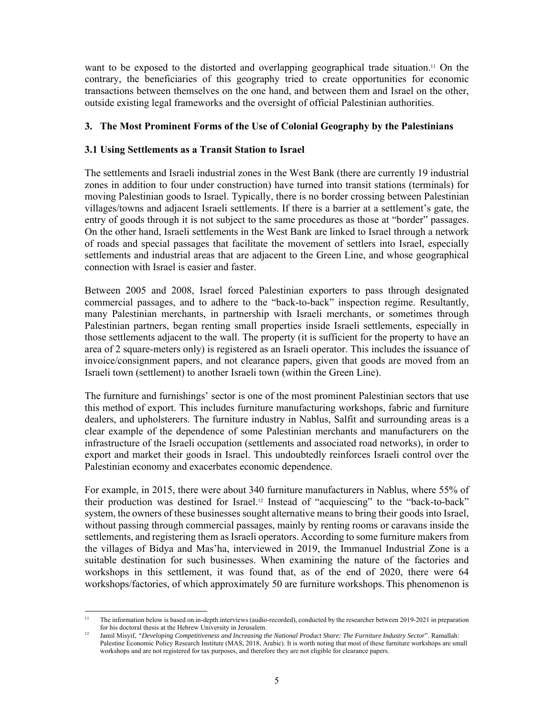want to be exposed to the distorted and overlapping geographical trade situation.11 On the contrary, the beneficiaries of this geography tried to create opportunities for economic transactions between themselves on the one hand, and between them and Israel on the other, outside existing legal frameworks and the oversight of official Palestinian authorities.

# **3. The Most Prominent Forms of the Use of Colonial Geography by the Palestinians**

# **3.1 Using Settlements as a Transit Station to Israel**

The settlements and Israeli industrial zones in the West Bank (there are currently 19 industrial zones in addition to four under construction) have turned into transit stations (terminals) for moving Palestinian goods to Israel. Typically, there is no border crossing between Palestinian villages/towns and adjacent Israeli settlements. If there is a barrier at a settlement's gate, the entry of goods through it is not subject to the same procedures as those at "border" passages. On the other hand, Israeli settlements in the West Bank are linked to Israel through a network of roads and special passages that facilitate the movement of settlers into Israel, especially settlements and industrial areas that are adjacent to the Green Line, and whose geographical connection with Israel is easier and faster.

Between 2005 and 2008, Israel forced Palestinian exporters to pass through designated commercial passages, and to adhere to the "back-to-back" inspection regime. Resultantly, many Palestinian merchants, in partnership with Israeli merchants, or sometimes through Palestinian partners, began renting small properties inside Israeli settlements, especially in those settlements adjacent to the wall. The property (it is sufficient for the property to have an area of 2 square-meters only) is registered as an Israeli operator. This includes the issuance of invoice/consignment papers, and not clearance papers, given that goods are moved from an Israeli town (settlement) to another Israeli town (within the Green Line).

The furniture and furnishings' sector is one of the most prominent Palestinian sectors that use this method of export. This includes furniture manufacturing workshops, fabric and furniture dealers, and upholsterers. The furniture industry in Nablus, Salfit and surrounding areas is a clear example of the dependence of some Palestinian merchants and manufacturers on the infrastructure of the Israeli occupation (settlements and associated road networks), in order to export and market their goods in Israel. This undoubtedly reinforces Israeli control over the Palestinian economy and exacerbates economic dependence.

For example, in 2015, there were about 340 furniture manufacturers in Nablus, where 55% of their production was destined for Israel.12 Instead of "acquiescing" to the "back-to-back" system, the owners of these businesses sought alternative means to bring their goods into Israel, without passing through commercial passages, mainly by renting rooms or caravans inside the settlements, and registering them as Israeli operators. According to some furniture makers from the villages of Bidya and Mas'ha, interviewed in 2019, the Immanuel Industrial Zone is a suitable destination for such businesses. When examining the nature of the factories and workshops in this settlement, it was found that, as of the end of 2020, there were 64 workshops/factories, of which approximately 50 are furniture workshops. This phenomenon is

The information below is based on in-depth interviews (audio-recorded), conducted by the researcher between 2019-2021 in preparation for his doctoral thesis at the Hebrew University in Jerusalem.

<sup>&</sup>lt;sup>12</sup> Jamil Misyif, *"Developing Competitiveness and Increasing the National Product Share: The Furniture Industry Sector"*. Ramallah: Palestine Economic Policy Research Institute (MAS, 2018, Arabic). It is worth noting that most of these furniture workshops are small workshops and are not registered for tax purposes, and therefore they are not eligible for clearance papers.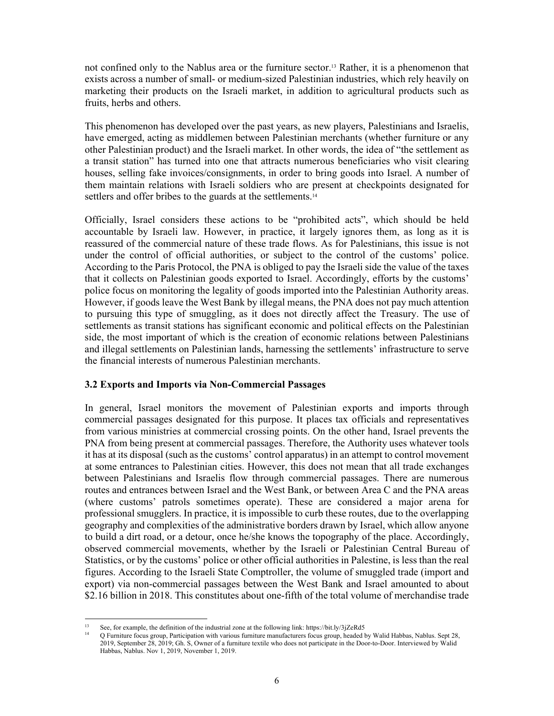not confined only to the Nablus area or the furniture sector.13 Rather, it is a phenomenon that exists across a number of small- or medium-sized Palestinian industries, which rely heavily on marketing their products on the Israeli market, in addition to agricultural products such as fruits, herbs and others.

This phenomenon has developed over the past years, as new players, Palestinians and Israelis, have emerged, acting as middlemen between Palestinian merchants (whether furniture or any other Palestinian product) and the Israeli market. In other words, the idea of "the settlement as a transit station" has turned into one that attracts numerous beneficiaries who visit clearing houses, selling fake invoices/consignments, in order to bring goods into Israel. A number of them maintain relations with Israeli soldiers who are present at checkpoints designated for settlers and offer bribes to the guards at the settlements.<sup>14</sup>

Officially, Israel considers these actions to be "prohibited acts", which should be held accountable by Israeli law. However, in practice, it largely ignores them, as long as it is reassured of the commercial nature of these trade flows. As for Palestinians, this issue is not under the control of official authorities, or subject to the control of the customs' police. According to the Paris Protocol, the PNA is obliged to pay the Israeli side the value of the taxes that it collects on Palestinian goods exported to Israel. Accordingly, efforts by the customs' police focus on monitoring the legality of goods imported into the Palestinian Authority areas. However, if goods leave the West Bank by illegal means, the PNA does not pay much attention to pursuing this type of smuggling, as it does not directly affect the Treasury. The use of settlements as transit stations has significant economic and political effects on the Palestinian side, the most important of which is the creation of economic relations between Palestinians and illegal settlements on Palestinian lands, harnessing the settlements' infrastructure to serve the financial interests of numerous Palestinian merchants.

#### **3.2 Exports and Imports via Non-Commercial Passages**

In general, Israel monitors the movement of Palestinian exports and imports through commercial passages designated for this purpose. It places tax officials and representatives from various ministries at commercial crossing points. On the other hand, Israel prevents the PNA from being present at commercial passages. Therefore, the Authority uses whatever tools it has at its disposal (such as the customs' control apparatus) in an attempt to control movement at some entrances to Palestinian cities. However, this does not mean that all trade exchanges between Palestinians and Israelis flow through commercial passages. There are numerous routes and entrances between Israel and the West Bank, or between Area C and the PNA areas (where customs' patrols sometimes operate). These are considered a major arena for professional smugglers. In practice, it is impossible to curb these routes, due to the overlapping geography and complexities of the administrative borders drawn by Israel, which allow anyone to build a dirt road, or a detour, once he/she knows the topography of the place. Accordingly, observed commercial movements, whether by the Israeli or Palestinian Central Bureau of Statistics, or by the customs' police or other official authorities in Palestine, is less than the real figures. According to the Israeli State Comptroller, the volume of smuggled trade (import and export) via non-commercial passages between the West Bank and Israel amounted to about \$2.16 billion in 2018. This constitutes about one-fifth of the total volume of merchandise trade

<sup>&</sup>lt;sup>13</sup> See, for example, the definition of the industrial zone at the following link: https://bit.ly/3jZeRd5<br><sup>14</sup> Q Furniture focus group, Participation with various furniture manufacturers focus group, headed by Walid Habba 2019, September 28, 2019; Gh. S, Owner of a furniture textile who does not participate in the Door-to-Door. Interviewed by Walid Habbas, Nablus. Nov 1, 2019, November 1, 2019.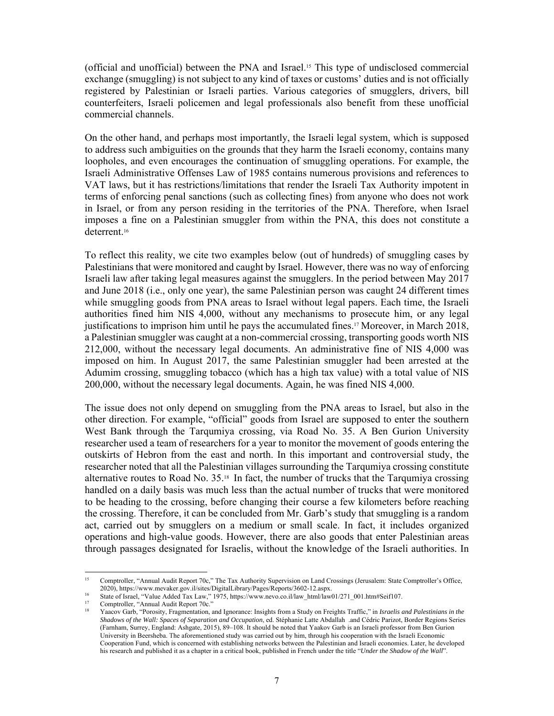(official and unofficial) between the PNA and Israel.15 This type of undisclosed commercial exchange (smuggling) is not subject to any kind of taxes or customs' duties and is not officially registered by Palestinian or Israeli parties. Various categories of smugglers, drivers, bill counterfeiters, Israeli policemen and legal professionals also benefit from these unofficial commercial channels.

On the other hand, and perhaps most importantly, the Israeli legal system, which is supposed to address such ambiguities on the grounds that they harm the Israeli economy, contains many loopholes, and even encourages the continuation of smuggling operations. For example, the Israeli Administrative Offenses Law of 1985 contains numerous provisions and references to VAT laws, but it has restrictions/limitations that render the Israeli Tax Authority impotent in terms of enforcing penal sanctions (such as collecting fines) from anyone who does not work in Israel, or from any person residing in the territories of the PNA. Therefore, when Israel imposes a fine on a Palestinian smuggler from within the PNA, this does not constitute a deterrent.16

To reflect this reality, we cite two examples below (out of hundreds) of smuggling cases by Palestinians that were monitored and caught by Israel. However, there was no way of enforcing Israeli law after taking legal measures against the smugglers. In the period between May 2017 and June 2018 (i.e., only one year), the same Palestinian person was caught 24 different times while smuggling goods from PNA areas to Israel without legal papers. Each time, the Israeli authorities fined him NIS 4,000, without any mechanisms to prosecute him, or any legal justifications to imprison him until he pays the accumulated fines.17 Moreover, in March 2018, a Palestinian smuggler was caught at a non-commercial crossing, transporting goods worth NIS 212,000, without the necessary legal documents. An administrative fine of NIS 4,000 was imposed on him. In August 2017, the same Palestinian smuggler had been arrested at the Adumim crossing, smuggling tobacco (which has a high tax value) with a total value of NIS 200,000, without the necessary legal documents. Again, he was fined NIS 4,000.

The issue does not only depend on smuggling from the PNA areas to Israel, but also in the other direction. For example, "official" goods from Israel are supposed to enter the southern West Bank through the Tarqumiya crossing, via Road No. 35. A Ben Gurion University researcher used a team of researchers for a year to monitor the movement of goods entering the outskirts of Hebron from the east and north. In this important and controversial study, the researcher noted that all the Palestinian villages surrounding the Tarqumiya crossing constitute alternative routes to Road No. 35.18 In fact, the number of trucks that the Tarqumiya crossing handled on a daily basis was much less than the actual number of trucks that were monitored to be heading to the crossing, before changing their course a few kilometers before reaching the crossing. Therefore, it can be concluded from Mr. Garb's study that smuggling is a random act, carried out by smugglers on a medium or small scale. In fact, it includes organized operations and high-value goods. However, there are also goods that enter Palestinian areas through passages designated for Israelis, without the knowledge of the Israeli authorities. In

<sup>&</sup>lt;sup>15</sup> Comptroller, "Annual Audit Report 70c," The Tax Authority Supervision on Land Crossings (Jerusalem: State Comptroller's Office, 2020), https://www.mevaker.gov.il/sites/DigitalLibrary/Pages/Reports/3602-12.aspx.

<sup>&</sup>lt;sup>16</sup><br>State of Israel, "Value Added Tax Law," 1975, https://www.nevo.co.il/law\_html/law01/271\_001.htm#Seif107.<br><sup>17</sup><br>State of Israel ("Dansity Fragment time and Imperator Isrichts from a Study on Fasishts Traffic "in Israel

<sup>18</sup> Yaacov Garb, "Porosity, Fragmentation, and Ignorance: Insights from a Study on Freights Traffic," in *Israelis and Palestinians in the Shadows of the Wall: Spaces of Separation and Occupation*, ed. Stéphanie Latte Abdallah .and Cédric Parizot, Border Regions Series (Farnham, Surrey, England: Ashgate, 2015), 89–108. It should be noted that Yaakov Garb is an Israeli professor from Ben Gurion University in Beersheba. The aforementioned study was carried out by him, through his cooperation with the Israeli Economic Cooperation Fund, which is concerned with establishing networks between the Palestinian and Israeli economies. Later, he developed his research and published it as a chapter in a critical book, published in French under the title "*Under the Shadow of the Wall*".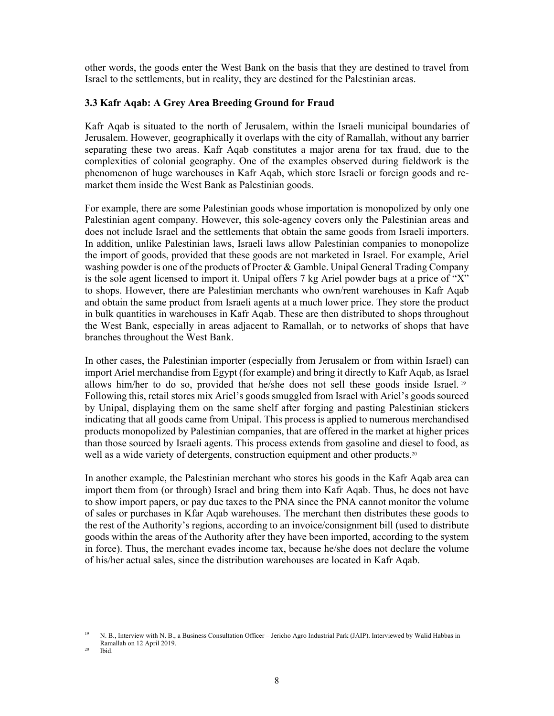other words, the goods enter the West Bank on the basis that they are destined to travel from Israel to the settlements, but in reality, they are destined for the Palestinian areas.

# **3.3 Kafr Aqab: A Grey Area Breeding Ground for Fraud**

Kafr Aqab is situated to the north of Jerusalem, within the Israeli municipal boundaries of Jerusalem. However, geographically it overlaps with the city of Ramallah, without any barrier separating these two areas. Kafr Aqab constitutes a major arena for tax fraud, due to the complexities of colonial geography. One of the examples observed during fieldwork is the phenomenon of huge warehouses in Kafr Aqab, which store Israeli or foreign goods and remarket them inside the West Bank as Palestinian goods.

For example, there are some Palestinian goods whose importation is monopolized by only one Palestinian agent company. However, this sole-agency covers only the Palestinian areas and does not include Israel and the settlements that obtain the same goods from Israeli importers. In addition, unlike Palestinian laws, Israeli laws allow Palestinian companies to monopolize the import of goods, provided that these goods are not marketed in Israel. For example, Ariel washing powder is one of the products of Procter & Gamble. Unipal General Trading Company is the sole agent licensed to import it. Unipal offers 7 kg Ariel powder bags at a price of "X" to shops. However, there are Palestinian merchants who own/rent warehouses in Kafr Aqab and obtain the same product from Israeli agents at a much lower price. They store the product in bulk quantities in warehouses in Kafr Aqab. These are then distributed to shops throughout the West Bank, especially in areas adjacent to Ramallah, or to networks of shops that have branches throughout the West Bank.

In other cases, the Palestinian importer (especially from Jerusalem or from within Israel) can import Ariel merchandise from Egypt (for example) and bring it directly to Kafr Aqab, as Israel allows him/her to do so, provided that he/she does not sell these goods inside Israel. <sup>19</sup> Following this, retail stores mix Ariel's goods smuggled from Israel with Ariel's goods sourced by Unipal, displaying them on the same shelf after forging and pasting Palestinian stickers indicating that all goods came from Unipal. This process is applied to numerous merchandised products monopolized by Palestinian companies, that are offered in the market at higher prices than those sourced by Israeli agents. This process extends from gasoline and diesel to food, as well as a wide variety of detergents, construction equipment and other products.<sup>20</sup>

In another example, the Palestinian merchant who stores his goods in the Kafr Aqab area can import them from (or through) Israel and bring them into Kafr Aqab. Thus, he does not have to show import papers, or pay due taxes to the PNA since the PNA cannot monitor the volume of sales or purchases in Kfar Aqab warehouses. The merchant then distributes these goods to the rest of the Authority's regions, according to an invoice/consignment bill (used to distribute goods within the areas of the Authority after they have been imported, according to the system in force). Thus, the merchant evades income tax, because he/she does not declare the volume of his/her actual sales, since the distribution warehouses are located in Kafr Aqab.

<sup>&</sup>lt;sup>19</sup> N. B., Interview with N. B., a Business Consultation Officer – Jericho Agro Industrial Park (JAIP). Interviewed by Walid Habbas in Ramallah on 12 April 2019.<br><sup>20</sup> Ibid.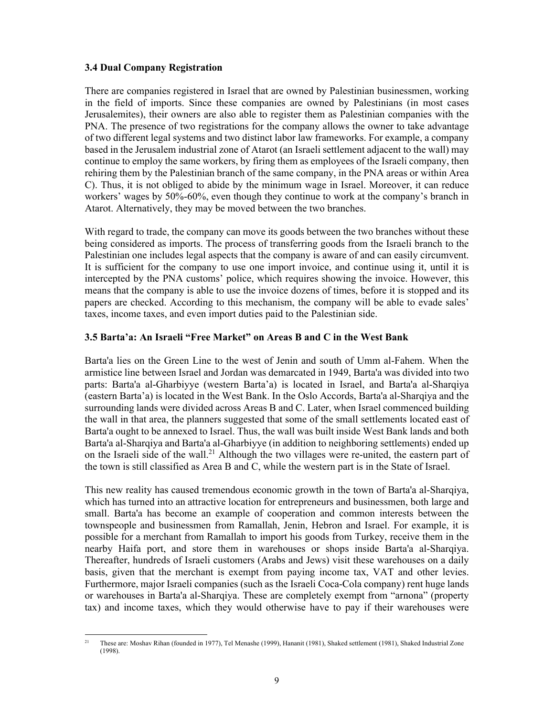# **3.4 Dual Company Registration**

There are companies registered in Israel that are owned by Palestinian businessmen, working in the field of imports. Since these companies are owned by Palestinians (in most cases Jerusalemites), their owners are also able to register them as Palestinian companies with the PNA. The presence of two registrations for the company allows the owner to take advantage of two different legal systems and two distinct labor law frameworks. For example, a company based in the Jerusalem industrial zone of Atarot (an Israeli settlement adjacent to the wall) may continue to employ the same workers, by firing them as employees of the Israeli company, then rehiring them by the Palestinian branch of the same company, in the PNA areas or within Area C). Thus, it is not obliged to abide by the minimum wage in Israel. Moreover, it can reduce workers' wages by 50%-60%, even though they continue to work at the company's branch in Atarot. Alternatively, they may be moved between the two branches.

With regard to trade, the company can move its goods between the two branches without these being considered as imports. The process of transferring goods from the Israeli branch to the Palestinian one includes legal aspects that the company is aware of and can easily circumvent. It is sufficient for the company to use one import invoice, and continue using it, until it is intercepted by the PNA customs' police, which requires showing the invoice. However, this means that the company is able to use the invoice dozens of times, before it is stopped and its papers are checked. According to this mechanism, the company will be able to evade sales' taxes, income taxes, and even import duties paid to the Palestinian side.

# **3.5 Barta'a: An Israeli "Free Market" on Areas B and C in the West Bank**

Barta'a lies on the Green Line to the west of Jenin and south of Umm al-Fahem. When the armistice line between Israel and Jordan was demarcated in 1949, Barta'a was divided into two parts: Barta'a al-Gharbiyye (western Barta'a) is located in Israel, and Barta'a al-Sharqiya (eastern Barta'a) is located in the West Bank. In the Oslo Accords, Barta'a al-Sharqiya and the surrounding lands were divided across Areas B and C. Later, when Israel commenced building the wall in that area, the planners suggested that some of the small settlements located east of Barta'a ought to be annexed to Israel. Thus, the wall was built inside West Bank lands and both Barta'a al-Sharqiya and Barta'a al-Gharbiyye (in addition to neighboring settlements) ended up on the Israeli side of the wall.<sup>21</sup> Although the two villages were re-united, the eastern part of the town is still classified as Area B and C, while the western part is in the State of Israel.

This new reality has caused tremendous economic growth in the town of Barta'a al-Sharqiya, which has turned into an attractive location for entrepreneurs and businessmen, both large and small. Barta'a has become an example of cooperation and common interests between the townspeople and businessmen from Ramallah, Jenin, Hebron and Israel. For example, it is possible for a merchant from Ramallah to import his goods from Turkey, receive them in the nearby Haifa port, and store them in warehouses or shops inside Barta'a al-Sharqiya. Thereafter, hundreds of Israeli customers (Arabs and Jews) visit these warehouses on a daily basis, given that the merchant is exempt from paying income tax, VAT and other levies. Furthermore, major Israeli companies (such as the Israeli Coca-Cola company) rent huge lands or warehouses in Barta'a al-Sharqiya. These are completely exempt from "arnona" (property tax) and income taxes, which they would otherwise have to pay if their warehouses were

<sup>&</sup>lt;sup>21</sup> These are: Moshav Rihan (founded in 1977), Tel Menashe (1999), Hananit (1981), Shaked settlement (1981), Shaked Industrial Zone (1998).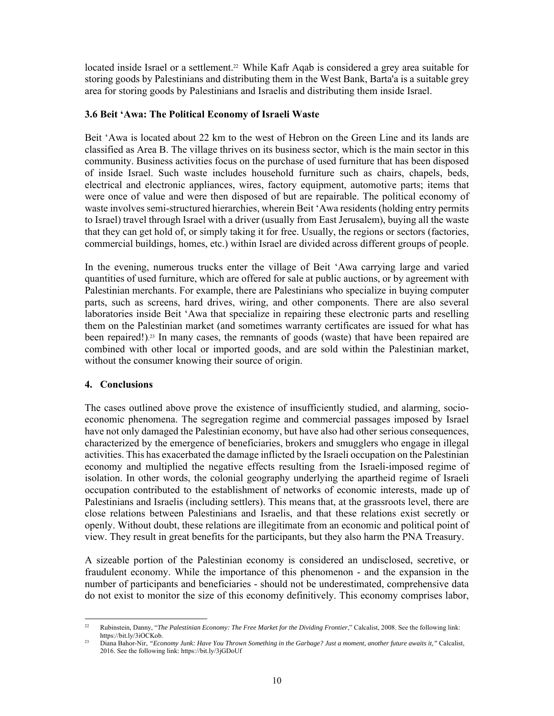located inside Israel or a settlement.<sup>22</sup> While Kafr Aqab is considered a grey area suitable for storing goods by Palestinians and distributing them in the West Bank, Barta'a is a suitable grey area for storing goods by Palestinians and Israelis and distributing them inside Israel.

# **3.6 Beit 'Awa: The Political Economy of Israeli Waste**

Beit 'Awa is located about 22 km to the west of Hebron on the Green Line and its lands are classified as Area B. The village thrives on its business sector, which is the main sector in this community. Business activities focus on the purchase of used furniture that has been disposed of inside Israel. Such waste includes household furniture such as chairs, chapels, beds, electrical and electronic appliances, wires, factory equipment, automotive parts; items that were once of value and were then disposed of but are repairable. The political economy of waste involves semi-structured hierarchies, wherein Beit 'Awa residents (holding entry permits to Israel) travel through Israel with a driver (usually from East Jerusalem), buying all the waste that they can get hold of, or simply taking it for free. Usually, the regions or sectors (factories, commercial buildings, homes, etc.) within Israel are divided across different groups of people.

In the evening, numerous trucks enter the village of Beit 'Awa carrying large and varied quantities of used furniture, which are offered for sale at public auctions, or by agreement with Palestinian merchants. For example, there are Palestinians who specialize in buying computer parts, such as screens, hard drives, wiring, and other components. There are also several laboratories inside Beit 'Awa that specialize in repairing these electronic parts and reselling them on the Palestinian market (and sometimes warranty certificates are issued for what has been repaired!). 23 In many cases, the remnants of goods (waste) that have been repaired are combined with other local or imported goods, and are sold within the Palestinian market, without the consumer knowing their source of origin.

#### **4. Conclusions**

The cases outlined above prove the existence of insufficiently studied, and alarming, socioeconomic phenomena. The segregation regime and commercial passages imposed by Israel have not only damaged the Palestinian economy, but have also had other serious consequences, characterized by the emergence of beneficiaries, brokers and smugglers who engage in illegal activities. This has exacerbated the damage inflicted by the Israeli occupation on the Palestinian economy and multiplied the negative effects resulting from the Israeli-imposed regime of isolation. In other words, the colonial geography underlying the apartheid regime of Israeli occupation contributed to the establishment of networks of economic interests, made up of Palestinians and Israelis (including settlers). This means that, at the grassroots level, there are close relations between Palestinians and Israelis, and that these relations exist secretly or openly. Without doubt, these relations are illegitimate from an economic and political point of view. They result in great benefits for the participants, but they also harm the PNA Treasury.

A sizeable portion of the Palestinian economy is considered an undisclosed, secretive, or fraudulent economy. While the importance of this phenomenon - and the expansion in the number of participants and beneficiaries - should not be underestimated, comprehensive data do not exist to monitor the size of this economy definitively. This economy comprises labor,

<sup>&</sup>lt;sup>22</sup> Rubinstein, Danny, "*The Palestinian Economy: The Free Market for the Dividing Frontier*," Calcalist, 2008. See the following link:<br>https://bit.ly/3iOCKob.

<sup>&</sup>lt;sup>23</sup> Diana Bahor-Nir, *"Economy Junk: Have You Thrown Something in the Garbage? Just a moment, another future awaits it," Calcalist,* 2016. See the following link: https://bit.ly/3jGDoUf